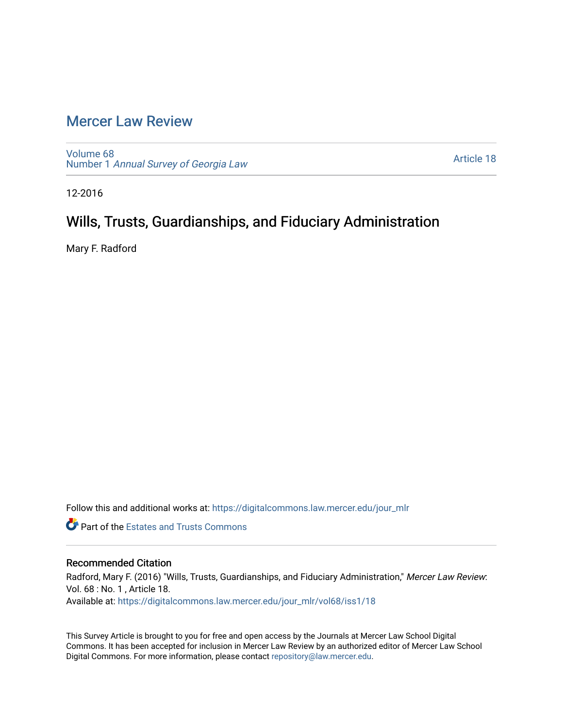## [Mercer Law Review](https://digitalcommons.law.mercer.edu/jour_mlr)

[Volume 68](https://digitalcommons.law.mercer.edu/jour_mlr/vol68) Number 1 [Annual Survey of Georgia Law](https://digitalcommons.law.mercer.edu/jour_mlr/vol68/iss1) 

[Article 18](https://digitalcommons.law.mercer.edu/jour_mlr/vol68/iss1/18) 

12-2016

# Wills, Trusts, Guardianships, and Fiduciary Administration

Mary F. Radford

Follow this and additional works at: [https://digitalcommons.law.mercer.edu/jour\\_mlr](https://digitalcommons.law.mercer.edu/jour_mlr?utm_source=digitalcommons.law.mercer.edu%2Fjour_mlr%2Fvol68%2Fiss1%2F18&utm_medium=PDF&utm_campaign=PDFCoverPages)

**Part of the Estates and Trusts Commons** 

## Recommended Citation

Radford, Mary F. (2016) "Wills, Trusts, Guardianships, and Fiduciary Administration," Mercer Law Review: Vol. 68 : No. 1 , Article 18. Available at: [https://digitalcommons.law.mercer.edu/jour\\_mlr/vol68/iss1/18](https://digitalcommons.law.mercer.edu/jour_mlr/vol68/iss1/18?utm_source=digitalcommons.law.mercer.edu%2Fjour_mlr%2Fvol68%2Fiss1%2F18&utm_medium=PDF&utm_campaign=PDFCoverPages) 

This Survey Article is brought to you for free and open access by the Journals at Mercer Law School Digital Commons. It has been accepted for inclusion in Mercer Law Review by an authorized editor of Mercer Law School Digital Commons. For more information, please contact [repository@law.mercer.edu](mailto:repository@law.mercer.edu).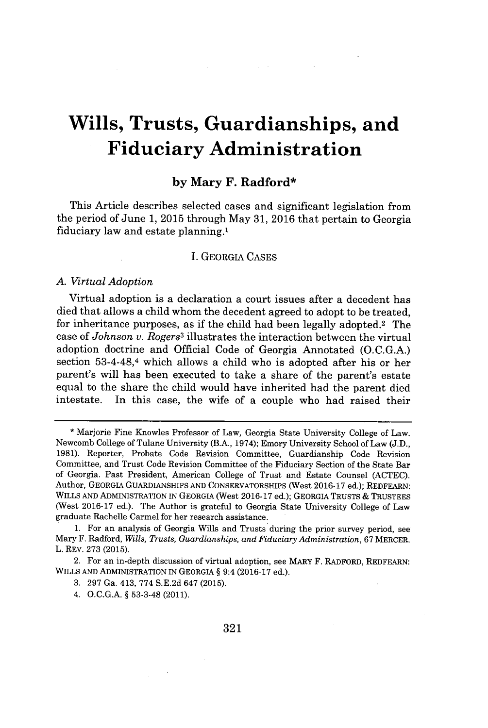# **Wills, Trusts, Guardianships, and Fiduciary Administration**

### **by Mary F. Radford\***

This Article describes selected cases and significant legislation from the period of June **1, 2015** through May **31, 2016** that pertain to Georgia fiduciary law and estate planning.'

#### I. GEORGIA **CASES**

#### *A. Virtual Adoption*

Virtual adoption is a declaration a court issues after a decedent has died that allows a child whom the decedent agreed to adopt to be treated, for inheritance purposes, as if the child had been legally adopted.<sup>2</sup> The case of *Johnson v. Rogers3* illustrates the interaction between the virtual adoption doctrine and Official Code of Georgia Annotated **(O.C.G.A.)** section 53-4-48,4 which allows a child who is adopted after his or her parent's will has been executed to take a share of the parent's estate equal to the share the child would have inherited had the parent died intestate. In this case, the wife of a couple who had raised their

**<sup>\*</sup>** Marjorie Fine Knowles Professor of Law, Georgia State University College of Law. Newcomb College of Tulane University (B.A., 1974); Emory University School of Law **(J.D., 1981).** Reporter, Probate Code Revision Committee, Guardianship Code Revision Committee, and Trust Code Revision Committee of the Fiduciary Section of the State Bar of Georgia. Past President, American College of Trust and Estate Counsel **(ACTEC).** Author, GEORGIA GUARDIANSHIPS **AND** CONSERVATORSHIPS (West **2016-17** ed.); REDFEARN: WILLS **AND** ADMINISTRATION **IN** GEORGIA (West **2016-17** ed.); GEORGIA TRUSTS **&** TRUSTEES (West **2016-17** ed.). The Author is grateful to Georgia State University College of Law graduate Rachelle Carmel for her research assistance.

**<sup>1.</sup>** For an analysis of Georgia Wills and Trusts during the prior survey period, see Mary F. Radford, *Wills, Trusts, Guardianships, and Fiduciary Administration,* **67** MERCER. L. REV. **273 (2015).**

<sup>2.</sup> For an in-depth discussion of virtual adoption, see MARY F. RADFORD, REDFEARN: WILLS **AND** ADMINISTRATION IN GEORGIA **§** 9:4 **(2016-17** ed.).

**<sup>3. 297</sup>** Ga. 413, **774 S.E.2d** 647 **(2015).**

<sup>4.</sup> **O.C.G.A. § 53-3-48** (2011).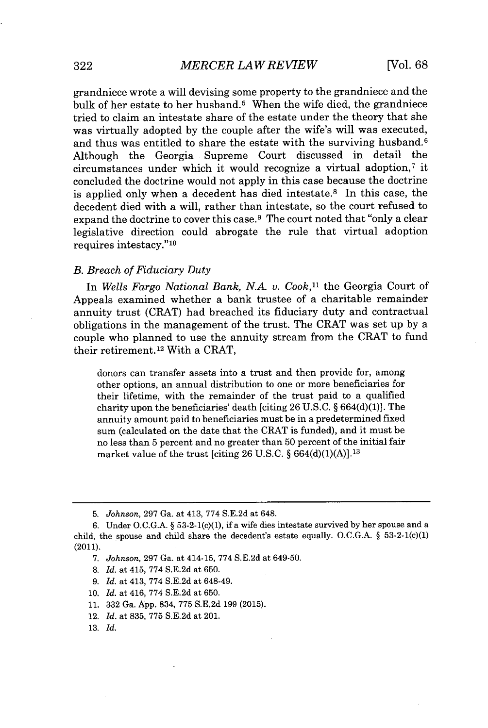grandniece wrote a will devising some property to the grandniece and the bulk of her estate to her husband.<sup>5</sup>When the wife died, the grandniece tried to claim an intestate share of the estate under the theory that she was virtually adopted **by** the couple after the wife's will was executed, and thus was entitled to share the estate with the surviving husband.<sup>6</sup> Although the Georgia Supreme Court discussed in detail the circumstances under which it would recognize a virtual adoption,<sup> $7$ </sup> it concluded the doctrine would not apply in this case because the doctrine is applied only when a decedent has died intestate. $8$  In this case, the decedent died with a will, rather than intestate, so the court refused to expand the doctrine to cover this case.<sup>9</sup> The court noted that "only a clear" legislative direction could abrogate the rule that virtual adoption requires intestacy."<sup>10</sup>

#### *B. Breach of Fiduciary Duty*

In *Wells Fargo National Bank, N.A. v. Cook,"* the Georgia Court of Appeals examined whether a bank trustee of a charitable remainder annuity trust (CRAT) had breached its fiduciary duty and contractual obligations in the management of the trust. The CRAT was set up **by** a couple who planned to use the annuity stream from the CRAT to fund their retirement.12 With a CRAT,

donors can transfer assets into a trust and then provide for, among other options, an annual distribution to one or more beneficiaries for their lifetime, with the remainder of the trust paid to a qualified charity upon the beneficiaries' death [citing **26 U.S.C.** *§* **664(d)(1)].** The annuity amount paid to beneficiaries must be in a predetermined fixed sum (calculated on the date that the CRAT is funded), and it must be no less than **5** percent and no greater than **50** percent of the initial fair market value of the trust [citing **26 U.S.C.** *§* **664(d)(1)(A)]. <sup>13</sup>**

- **8.** *Id.* at 415, **774 S.E.2d** at **650.**
- **9.** *Id.* at 413, **774 S.E.2d** at 648-49.
- **10.** *Id.* at 416, **774 S.E.2d** at **650.**
- **11. 332** Ga. **App.** 834, **775 S.E.2d 199 (2015).**
- 12. *Id.* at **835, 775 S.E.2d** at 201.
- **13.** *Id.*

**<sup>5.</sup>** *Johnson,* **297** Ga. at 413, **774 S.E.2d** at 648.

**<sup>6.</sup>** Under **O.C.G.A.** *§* **53-2-1(c)(1),** if a wife dies intestate survived **by** her spouse and a child, the spouse and child share the decedent's estate equally. O.C.G.A.  $\S$  53-2-1(c)(1) (2011).

*<sup>7.</sup> Johnson,* **297** Ga. at 414-15, **774 S.E.2d** at 649-50.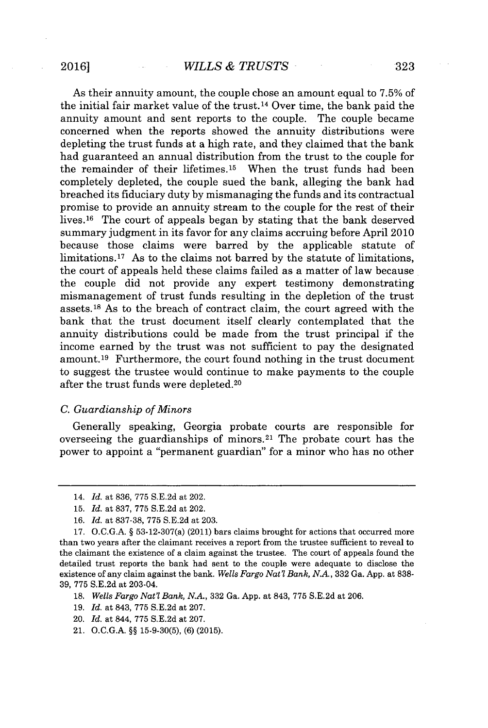As their annuity amount, the couple chose an amount equal to **7.5%** of the initial fair market value of the trust.14 Over time, the bank paid the annuity amount and sent reports to the couple. The couple became concerned when the reports showed the annuity distributions were depleting the trust funds at a high rate, and they claimed that the bank had guaranteed an annual distribution from the trust to the couple for the remainder of their lifetimes.<sup>15</sup> When the trust funds had been completely depleted, the couple sued the bank, alleging the bank had breached its fiduciary duty **by** mismanaging the funds and its contractual promise to provide an annuity stream to the couple for the rest of their lives.<sup>16</sup> The court of appeals began by stating that the bank deserved summary judgment in its favor for any claims accruing before April 2010 because those claims were barred **by** the applicable statute of limitations.<sup>17</sup> As to the claims not barred by the statute of limitations, the court of appeals held these claims failed as a matter of law because the couple did not provide any expert testimony demonstrating mismanagement of trust funds resulting in the depletion of the trust assets.<sup>18</sup> As to the breach of contract claim, the court agreed with the bank that the trust document itself clearly contemplated that the annuity distributions could be made from the trust principal if the income earned **by** the trust was not sufficient to pay the designated amount.<sup>19</sup> Furthermore, the court found nothing in the trust document to suggest the trustee would continue to make payments to the couple after the trust funds were depleted. <sup>20</sup>

#### *C. Guardianship of Minors*

Generally speaking, Georgia probate courts are responsible for overseeing the guardianships of minors.<sup>21</sup> The probate court has the power to appoint a "permanent guardian" for a minor who has no other

**19.** *Id.* at 843, **775 S.E.2d** at **207.**

<sup>14.</sup> *Id.* at **836, 775 S.E.2d** at 202.

**<sup>15.</sup>** *Id.* at **837, 775 S.E.2d** at 202.

*<sup>16.</sup> Id.* at **837-38, 775 S.E.2d** at **203.**

**<sup>17.</sup> O.C.G.A.** *§* 53-12-307(a) (2011) bars claims brought for actions that occurred more than two years after the claimant receives a report from the trustee sufficient to reveal to the claimant the existence of a claim against the trustee. The court of appeals found the detailed trust reports the bank had sent to the couple were adequate to disclose the existence of any claim against the bank. *Wells Fargo Nat'l Bank, N.A.,* **332** Ga. **App.** at **838- 39, 775 S.E.2d** at 203-04.

*<sup>18.</sup> Wells Fargo Nat'l Bank, N.A.,* **332** Ga. **App.** at 843, **775 S.E.2d** at **206.**

<sup>20.</sup> *Id.* at 844, **775 S.E.2d** at **207.**

<sup>21.</sup> **O.C.G.A.** *§§* **15-9-30(5), (6) (2015).**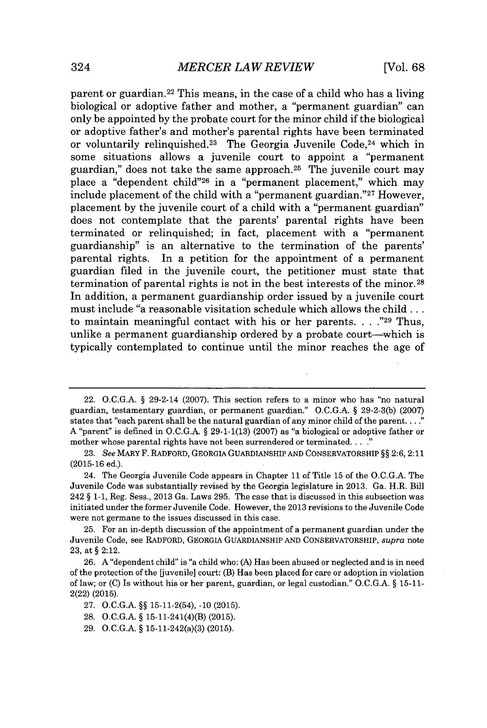parent or guardian.<sup>22</sup> This means, in the case of a child who has a living biological or adoptive father and mother, a "permanent guardian" can only be appointed **by** the probate court for the minor child if the biological or adoptive father's and mother's parental rights have been terminated or voluntarily relinquished.<sup>23</sup> The Georgia Juvenile Code.<sup>24</sup> which in some situations allows a juvenile court to appoint a "permanent guardian," does not take the same approach.<sup>25</sup> The juvenile court may place a "dependent child"<sup>26</sup> in a "permanent placement," which may include placement of the child with a "permanent guardian."<sup>27</sup> However, placement **by** the juvenile court of a child with a "permanent guardian" does not contemplate that the parents' parental rights have been terminated or relinquished; in fact, placement with a "permanent guardianship" is an alternative to the termination of the parents' parental rights. In a petition for the appointment of a permanent guardian filed in the juvenile court, the petitioner must state that termination of parental rights is not in the best interests of the minor. <sup>28</sup> In addition, a permanent guardianship order issued **by** a juvenile court must include "a reasonable visitation schedule which allows the child **...** to maintain meaningful contact with his or her parents. **. . ."29** Thus, unlike a permanent guardianship ordered **by** a probate court-which is typically contemplated to continue until the minor reaches the age of

<sup>22.</sup> **O.C.G.A. §** 29-2-14 **(2007).** This section refers to a minor who has "no natural guardian, testamentary guardian, or permanent guardian." **O.C.G.A. § 29-2-3(b) (2007)** states that "each parent shall be the natural guardian of any minor child of the parent. **. . ." A** "parent" is defined in **O.C.G.A. § 29-1-1(13) (2007)** as "a biological or adoptive father or mother whose parental rights have not been surrendered or terminated. **. . ."**

**<sup>23.</sup>** *See* MARY F. RADFORD, GEORGIA GUARDIANSHIP **AND** CONSERVATORSHIP **§§ 2:6, 2:11 (2015-16** ed.).

<sup>24.</sup> The Georgia Juvenile Code appears in Chapter **11** of Title **15** of the **O.C.G.A.** The Juvenile Code was substantially revised **by** the Georgia legislature in **2013.** Ga. H.R. Bill 242 **§ 1-1,** Reg. Sess., **2013** Ga. Laws **295.** The case that is discussed in this subsection was initiated under the former Juvenile Code. However, the **2013** revisions to the Juvenile Code were not germane to the issues discussed in this case.

**<sup>25.</sup>** For an in-depth discussion of the appointment of a permanent guardian under the Juvenile Code, see RADFORD, **GEORGIA** GUARDIANSHIP **AND** CONSERVATORSHIP, *supra* note **23,** at **§** 2:12.

**<sup>26.</sup> A** "dependent child" is "a child who: **(A)** Has been abused or neglected and is in need of the protection of the [uvenile] court: (B) Has been placed for care or adoption in violation of law; or **(C)** Is without his or her parent, guardian, or legal custodian." **O.C.G.A. § 15-11-** 2(22) **(2015).**

**<sup>27.</sup> O.C.G.A. §§** 15-11-2(54), **-10 (2015).**

**<sup>28.</sup> O.C.G.A. §** 15-11-241(4)(B) **(2015).**

**<sup>29.</sup> O.C.G.A. §** 15-11-242(a)(3) **(2015).**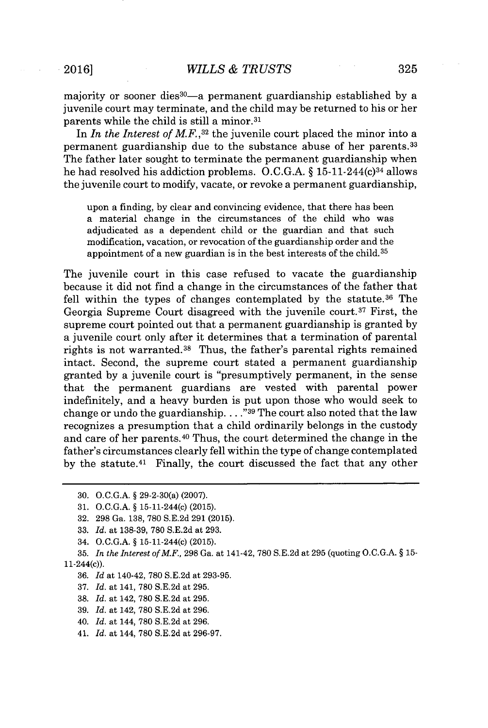majority or sooner dieS<sup>30</sup>-a permanent guardianship established **by** a juvenile court may terminate, and the child may be returned to his or her parents while the child is still a minor.<sup>31</sup>

In *In the Interest of MF.,3<sup>2</sup>*the juvenile court placed the minor into a permanent guardianship due to the substance abuse of her parents.3 3 The father later sought to terminate the permanent guardianship when he had resolved his addiction problems. **O.C.G.A. §** 15-11-244(c) <sup>34</sup>allows the juvenile court to modify, vacate, or revoke a permanent guardianship,

upon a finding, **by** clear and convincing evidence, that there has been a material change in the circumstances of the child who was adjudicated as a dependent child or the guardian and that such modification, vacation, or revocation of the guardianship order and the appointment of a new guardian is in the best interests of the child.<sup>35</sup>

The juvenile court in this case refused to vacate the guardianship because it did not find a change in the circumstances of the father that fell within the types of changes contemplated by the statute.<sup>36</sup> The Georgia Supreme Court disagreed with the juvenile court.<sup>37</sup> First, the supreme court pointed out that a permanent guardianship is granted **by** a juvenile court only after it determines that a termination of parental rights is not warranted.<sup>38</sup> Thus, the father's parental rights remained intact. Second, the supreme court stated a permanent guardianship granted **by** a juvenile court is "presumptively permanent, in the sense that the permanent guardians are vested with parental power indefinitely, and a heavy burden is put upon those who would seek to change or undo the guardianship **... ."39** The court also noted that the law recognizes a presumption that a child ordinarily belongs in the custody and care of her parents.<sup>40</sup> Thus, the court determined the change in the father's circumstances clearly fell within the type of change contemplated by the statute.<sup>41</sup> Finally, the court discussed the fact that any other

- **37.** *Id.* at 141, **780 S.E.2d** at **295.**
- **38.** *Id.* at 142, **780 S.E.2d** at **295.**
- **39.** *Id.* at 142, **780 S.E.2d** at **296.**
- 40. *Id.* at 144, **780 S.E.2d** at **296.**
- 41. *Id.* at 144, **780 S.E.2d** at **296-97.**

**<sup>30.</sup> O.C.G.A. §** 29-2-30(a) **(2007).**

**<sup>31.</sup> O.C.G.A. §** 15-11-244(c) **(2015).**

**<sup>32. 298</sup>** Ga. **138, 780 S.E.2d 291 (2015).**

**<sup>33.</sup>** *Id.* at **138-39, 780 S.E.2d** at **293.**

<sup>34.</sup> **O.C.G.A. §** 15-11-244(c) **(2015).**

**<sup>35.</sup>** *In the Interest of M.F,* **298** Ga. at 141-42, **780 S.E.2d** at **295** (quoting **O.C.G.A. § 15-** 11-244(c)).

**<sup>36.</sup>** *Id* at 140-42, **780 S.E.2d** at **293-95.**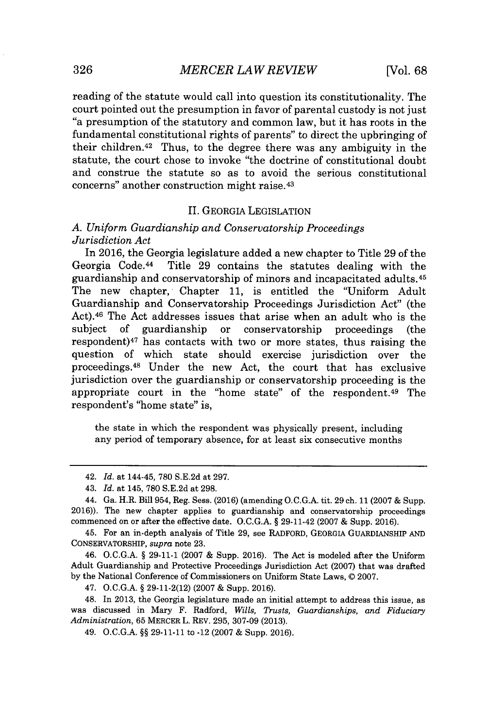reading of the statute would call into question its constitutionality. The court pointed out the presumption in favor of parental custody is not just "a presumption of the statutory and common law, but it has roots in the fundamental constitutional rights of parents" to direct the upbringing of their children. $42$  Thus, to the degree there was any ambiguity in the statute, the court chose to invoke "the doctrine of constitutional doubt and construe the statute so as to avoid the serious constitutional concerns" another construction might raise.<sup>43</sup>

#### II. GEORGIA LEGISLATION

#### *A. Uniform Guardianship and Conservatorship Proceedings Jurisdiction Act*

In **2016,** the Georgia legislature added a new chapter to Title **29** of the Georgia Code. <sup>44</sup>Title **29** contains the statutes dealing with the guardianship and conservatorship of minors and incapacitated adults. <sup>45</sup> The new chapter, Chapter **11,** is entitled the "Uniform Adult Guardianship and Conservatorship Proceedings Jurisdiction Act" (the Act).<sup>46</sup> The Act addresses issues that arise when an adult who is the subject of guardianship or conservatorship proceedings (the guardianship or conservatorship proceedings (the respondent) $47$  has contacts with two or more states, thus raising the question of which state should exercise jurisdiction over the proceedings.<sup>48</sup> Under the new Act, the court that has exclusive jurisdiction over the guardianship or conservatorship proceeding is the appropriate court in the "home state" of the respondent. $49$  The respondent's "home state" is,

the state in which the respondent was physically present, including any period of temporary absence, for at least six consecutive months

45. For an in-depth analysis of Title **29,** see RADFORD, GEORGIA GUARDIANSHIP **AND** CONSERVATORSHIP, *supra* note **23.**

46. **O.C.G.A. § 29-11-1 (2007 &** Supp. **2016).** The Act is modeled after the Uniform Adult Guardianship and Protective Proceedings Jurisdiction Act **(2007)** that was drafted **by** the National Conference of Commissioners on Uniform State Laws, **C 2007.**

47. **O.C.G.A. § 29-11-2(12) (2007 &** Supp. **2016).**

48. In **2013,** the Georgia legislature made an initial attempt to address this issue, as was discussed in Mary F. Radford, *Wills, Trusts, Guardianships, and Fiduciary Administration,* **65** MERCER L. REV. **295, 307-09 (2013).**

49. **O.C.G.A. §§ 29-11-11** to -12 **(2007 &** Supp. **2016).**

<sup>42.</sup> *Id.* at 144-45, **780 S.E.2d** at **297.**

<sup>43.</sup> *Id.* at 145, **780 S.E.2d** at **298.**

<sup>44.</sup> Ga. H.R. Bill 954, Reg. Sess. **(2016)** (amending **O.C.G.A.** tit. **29** ch. **11 (2007 &** Supp. **2016)).** The new chapter applies to guardianship and conservatorship proceedings commenced on or after the effective date. **O.C.G.A. §** 29-11-42 **(2007 &** Supp. **2016).**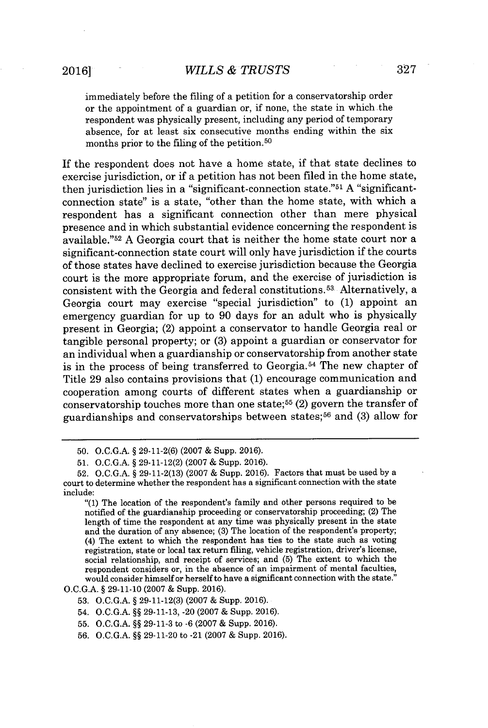immediately before the filing of a petition for a conservatorship order or the appointment of a guardian or, if none, the state in which the respondent was physically present, including any period of temporary absence, for at least six consecutive months ending within the six months prior to the filing of the petition. <sup>50</sup>

If the respondent does not have a home state, if that state declines to exercise jurisdiction, or if a petition has not been filed in the home state, then jurisdiction lies in a "significant-connection state."5 1 **A** "significantconnection state" is a state, "other than the home state, with which a respondent has a significant connection other than mere physical presence and in which substantial evidence concerning the respondent is available." <sup>52</sup>**A** Georgia court that is neither the home state court nor a significant-connection state court will only have jurisdiction if the courts of those states have declined to exercise jurisdiction because the Georgia court is the more appropriate forum, and the exercise of jurisdiction is consistent with the Georgia and federal constitutions. 53. Alternatively, a Georgia court may exercise "special jurisdiction" to **(1)** appoint an emergency guardian for up to **90** days for an adult who is physically present in Georgia; (2) appoint a conservator to handle Georgia real or tangible personal property; or **(3)** appoint a guardian or conservator for an individual when a guardianship or conservatorship from another state is in the process of being transferred to Georgia. <sup>54</sup>The new chapter of Title **29** also contains provisions that **(1)** encourage communication and cooperation among courts of different states when a guardianship or conservatorship touches more than one state;<sup>55</sup> $(2)$  govern the transfer of guardianships and conservatorships between states;<sup>56</sup> and (3) allow for

**<sup>50.</sup> O.C.G.A. § 29-11-2(6) (2007 &** Supp. **2016).**

**<sup>51.</sup> O.C.G.A. § 29-11-12(2) (2007 &** Supp. **2016).**

**<sup>52.</sup> O.C.G.A. § 29-11-2(13) (2007 &** Supp. **2016).** Factors that must be used **by** a court to determine whether the respondent has a significant connection with the state include:

<sup>&</sup>quot;(1) The location of the respondent's family and other persons required to be notified of the guardianship proceeding or conservatorship proceeding; (2) The length of time the respondent at any time was physically present in the state and the duration of any absence; **(3)** The location of the respondent's property; (4) The extent **to** which the respondent has ties to the state such as voting registration, state or local tax return filing, vehicle registration, driver's license, social relationship, and receipt of services; and **(5)** The extent to which the respondent considers or, in the absence of an impairment of mental faculties, would consider himself or herself to have a significant connection with the state."

**O.C.G.A. § 29-11-10 (2007 &** Supp. **2016).**

**<sup>53.</sup> O.C.G.A. § 29-11-12(3) (2007 &** Supp. **2016).**

<sup>54.</sup> **O.C.G.A. §§ 29-11-13,** -20 **(2007 &** Supp. **2016).**

**<sup>55.</sup> O.C.G.A. §§ 29-11-3** to **-6 (2007 &** Supp. **2016).**

**<sup>56.</sup> O.C.G.A. §§ 29-11-20** to -21 **(2007 &** Supp. **2016).**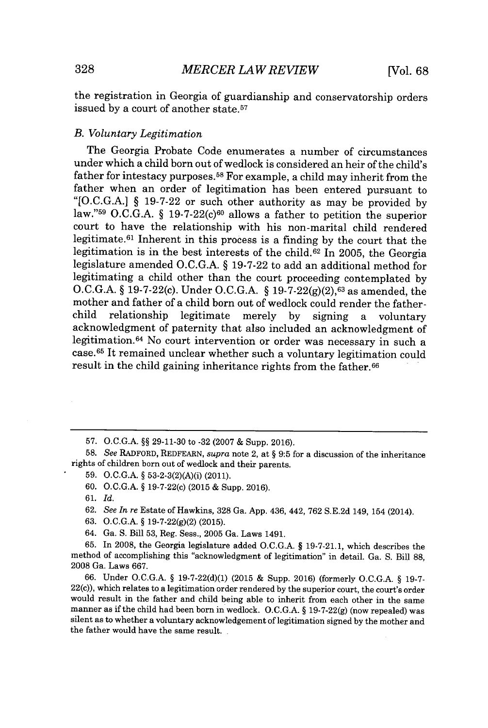the registration in Georgia of guardianship and conservatorship orders issued by a court of another state.<sup>57</sup>

#### *B. Voluntary Legitimation*

The Georgia Probate Code enumerates a number of circumstances under which a child born out of wedlock is considered an heir of the child's father for intestacy purposes.<sup>58</sup> For example, a child may inherit from the father when an order of legitimation has been entered pursuant to **"[O.C.G.A.] § 19-7-22** or such other authority as may be provided **by** law."<sup>59</sup>**O.C.G.A.** *§* **19-7-22(c) <sup>6</sup> <sup>o</sup>**allows a father to petition the superior court to have the relationship with his non-marital child rendered legitimate.<sup>61</sup> Inherent in this process is a finding by the court that the legitimation is in the best interests of the child.<sup>62</sup> In 2005, the Georgia legislature amended **O.C.G.A.** *§* **19-7-22** to add an additional method for legitimating a child other than the court proceeding contemplated **by O.C.G.A.** *§* 19-7-22(c). Under **O.C.G.A. § 19-7-22(g)(2), <sup>63</sup>**as amended, the mother and father of a child born out of wedlock could render the father-<br>child relationship legitimate merely by signing a voluntary legitimate merely by signing a voluntary acknowledgment of paternity that also included an acknowledgment of legitimation.<sup>64</sup> No court intervention or order was necessary in such a case.<sup>65</sup>It remained unclear whether such a voluntary legitimation could result in the child gaining inheritance rights from the father.<sup>66</sup>

**61.** *Id.*

- **63. O.C.G.A. § 19-7-22(g)(2) (2015).**
- 64. Ga. **S.** Bill **53,** Reg. Sess., **2005** Ga. Laws 1491.

**<sup>57.</sup> O.C.G.A. §§ 29-11-30** to **-32 (2007 &** Supp. **2016).**

**<sup>58.</sup>** *See* RADFORD, REDFEARN, *supra* note 2, at **§ 9:5** for a discussion of the inheritance rights of children born out of wedlock and their parents.

**<sup>59.</sup> O.C.G.A. §** 53-2-3(2)(A)(i) (2011).

**<sup>60.</sup> O.C.G.A. §** 19-7-22(c) **(2015 &** Supp. **2016).**

**<sup>62.</sup>** *See In re* Estate of Hawkins, **328** Ga. **App.** 436, 442, **762 S.E.2d** 149, 154 (2014).

**<sup>65.</sup>** In **2008,** the Georgia legislature added **O.C.G.A. § 19-7-21.1,** which describes the method of accomplishing this "acknowledgment of legitimation" in detail. Ga. **S.** Bill **88, 2008** Ga. Laws **667.**

**<sup>66.</sup>** Under **O.C.G.A. § 19-7-22(d)(1) (2015 &** Supp. **2016)** (formerly **O.C.G.A. § 19-7-** 22(c)), which relates to a legitimation order rendered **by** the superior court, the court's order would result in the father and child being able to inherit from each other in the same manner as if the child had been born in wedlock. **O.C.G.A. § 19-7-22(g)** (now repealed) was silent as to whether a voluntary acknowledgement of legitimation signed **by** the mother and the father would have the same result.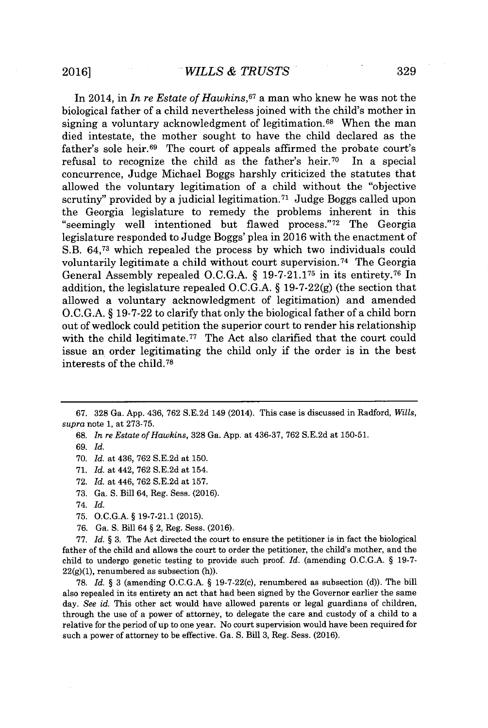In 2014, in *In re Estate of Hawkins,<sup>67</sup>a* man who knew he was not the biological father of a child nevertheless joined with the child's mother in signing a voluntary acknowledgment of legitimation.<sup>68</sup> When the man died intestate, the mother sought to have the child declared as the father's sole heir.<sup>69</sup> The court of appeals affirmed the probate court's refusal to recognize the child as the father's heir.<sup>70</sup> In a special concurrence, Judge Michael Boggs harshly criticized the statutes that allowed the voluntary legitimation of a child without the "objective scrutiny" provided by a judicial legitimation.<sup>71</sup> Judge Boggs called upon the Georgia legislature to remedy the problems inherent in this "seemingly well intentioned but flawed process."<sup>72</sup> The Georgia legislature responded to Judge Boggs' plea in **2016** with the enactment of S.B. 64,7 which repealed the process **by** which two individuals could voluntarily legitimate a child without court supervision.<sup>74</sup> The Georgia General Assembly repealed **O.C.G.A. § 19-7-21.175** in its entirety.7 6 In addition, the legislature repealed **O.C.G.A. § 19-7-22(g)** (the section that allowed a voluntary acknowledgment of legitimation) and amended **O.C.G.A. § 19-7-22** to clarify that only the biological father of a child born out of wedlock could petition the superior court to render his relationship with the child legitimate.<sup>77</sup> The Act also clarified that the court could issue an order legitimating the child only if the order is in the best interests of the child.<sup>78</sup>

**68.** *In re Estate of Hawkins,* **328** Ga. **App.** at **436-37, 762 S.E.2d** at **150-51.**

- **73.** Ga. **S.** Bill 64, Reg. Sess. **(2016).**
- 74. *Id.*
- **75. O.C.G.A.** *§* **19-7-21.1 (2015).**
- **76.** Ga. **S.** Bill 64 *§* 2, Reg. Sess. **(2016).**

**77.** *Id. §* **3.** The Act directed the court to ensure the petitioner is in fact the biological father of the child and allows the court to order the petitioner, the child's mother, and the child to undergo genetic testing to provide such proof. *Id.* (amending **O.C.G.A.** *§* **19-7- 22(g)(1),** renumbered as subsection (h)).

**78.** *Id. §* **3** (amending **O.C.G.A.** *§* 19-7-22(c), renumbered as subsection **(d)).** The bill also repealed in its entirety an act that had been signed **by** the Governor earlier the same day. *See id.* This other act would have allowed parents or legal guardians of children, through the use of a power of attorney, to delegate the care and custody of a child to a relative for the period of up to one year. No court supervision would have been required for such a power of attorney to be effective. Ga. **S.** Bill **3,** Reg. Sess. **(2016).**

**<sup>67. 328</sup>** Ga. **App.** 436, **762 S.E.2d** 149 (2014). This case is discussed in Radford, *Wills, supra* note **1,** at **273-75.**

**<sup>69.</sup>** *Id.*

**<sup>70.</sup>** *Id.* at 436, **762 S.E.2d** at **150.**

**<sup>71.</sup>** *Id.* at 442, **762 S.E.2d** at 154.

**<sup>72.</sup>** *Id.* at 446, **762 S.E.2d** at **157.**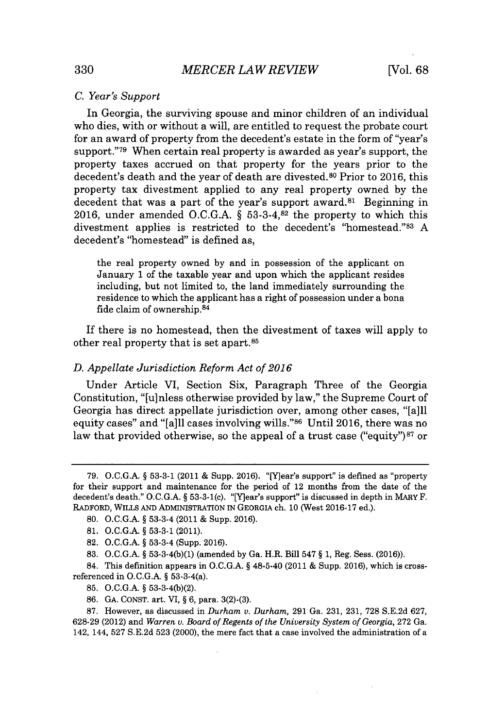#### *C. Year's Support*

In Georgia, the surviving spouse and minor children of an individual who dies, with or without a will, are entitled to request the probate court for an award of property from the decedent's estate in the form of "year's support."<sup>79</sup> When certain real property is awarded as year's support, the property taxes accrued on that property for the years prior to the decedent's death and the year of death are divested.<sup>80</sup>Prior to **2016,** this property tax divestment applied to any real property owned **by** the decedent that was a part of the year's support award.<sup>81</sup> Beginning in **2016,** under amended **O.C.G.A. § 53-3-4,82** the property to which this divestment applies is restricted to the decedent's "homestead."<sup>83</sup>**A** decedent's "homestead" is defined as,

the real property owned **by** and in possession of the applicant on January **1** of the taxable year and upon which the applicant resides including, but not limited to, the land immediately surrounding the residence to which the applicant has a right of possession under a bona fide claim of ownership. <sup>84</sup>

If there is no homestead, then the divestment of taxes will apply to other real property that is set apart.85

#### *D. Appellate Jurisdiction Reform Act of 2016*

Under Article VI, Section Six, Paragraph Three of the Georgia Constitution, "[u]nless otherwise provided **by** law," the Supreme Court of Georgia has direct appellate jurisdiction over, among other cases, "[a]ll equity cases" and "[a]ll cases involving **wills." <sup>86</sup>**Until **2016,** there was no law that provided otherwise, so the appeal of a trust case ("equity")<sup>87</sup> or

84. This definition appears in **O.C.G.A.** *§* 48-5-40 (2011 **&** Supp. **2016),** which is crossreferenced in **O.C.G.A.** *§* 53-3-4(a).

- **85. O.C.G.A.** *§* **53-3-4(b)(2).**
- **86. GA. CONST.** art. VI, *§* **6,** para. **3(2)-(3).**

**87.** However, as discussed in *Durham v. Durham,* **291** Ga. **231, 231, 728 S.E.2d 627, 628-29** (2012) and *Warren v. Board of Regents of the University System of Georgia,* **272** Ga. 142, 144, **527 S.E.2d 523** (2000), the mere fact that a case involved the administration of a

**<sup>79.</sup> O.C.G.A.** *§* **53-3-1** (2011 **&** Supp. **2016).** "[Y]ear's support" is defined as "property for their support and maintenance for the period of 12 months from the date of the decedent's death." **O.C.G.A.** *§* 53-3-1(c). "[Y]ear's support" is discussed in depth in MARY F. RADFORD, WILLS **AND** ADMINISTRATION **IN GEORGIA** ch. **10** (West **2016-17** ed.).

**<sup>80.</sup> O.C.G.A.** *§* 53-3-4 (2011 **&** Supp. **2016).**

**<sup>81.</sup> O.C.G.A.** *§* **53-3-1** (2011).

**<sup>82.</sup> O.C.G.A.** *§* 53-3-4 (Supp. **2016).**

**<sup>83.</sup> O.C.G.A.** *§* **53-3-4(b)(1)** (amended **by** Ga. H.R. Bill 547 *§* **1,** Reg. Sess. **(2016)).**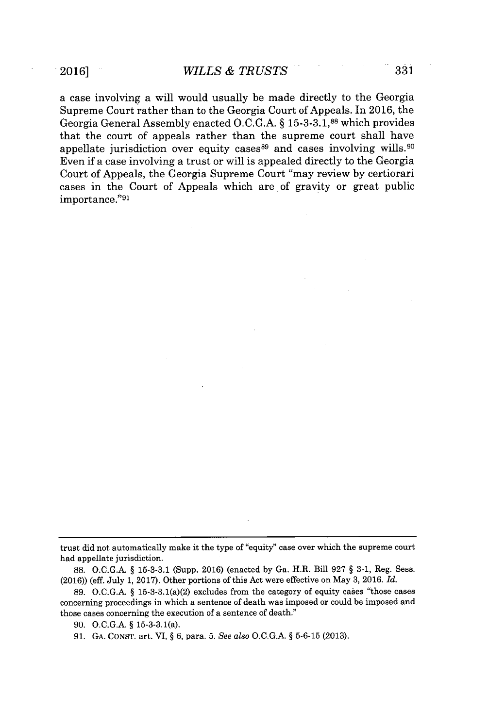a case involving a will would usually be made directly to the Georgia Supreme Court rather than to the Georgia Court of Appeals. In **2016,** the Georgia General Assembly enacted **O.C.G.A.** *§* **15-3-3.1,88** which provides that the court of appeals rather than the supreme court shall have appellate jurisdiction over equity cases  $89$  and cases involving wills.  $90$ Even if a case involving a trust or will is appealed directly to the Georgia Court of Appeals, the Georgia Supreme Court "may review **by** certiorari cases in the Court of Appeals which are of gravity or great public importance."<sup>9</sup> 1

trust did not automatically make it the type of "equity" case over which the supreme court had appellate jurisdiction.

**<sup>88.</sup> O.C.G.A. § 15-3-3.1** (Supp. **2016)** (enacted **by** Ga. H.R. Bill **927 § 3-1,** Reg. Sess. **(2016))** (eff. July **1, 2017).** Other portions of this Act were effective on May **3, 2016.** *Id.*

**<sup>89.</sup> O.C.G.A. §** 15-3-3.1(a)(2) excludes from the category of equity cases "those cases concerning proceedings in which a sentence of death was imposed or could be imposed and those cases concerning the execution of a sentence of death."

**<sup>90.</sup> O.C.G.A. §** 15-3-3.1(a).

**<sup>91.</sup> GA. CONST.** art. VI, **§ 6,** para. **5.** *See also* **O.C.G.A. § 5-6-15 (2013).**